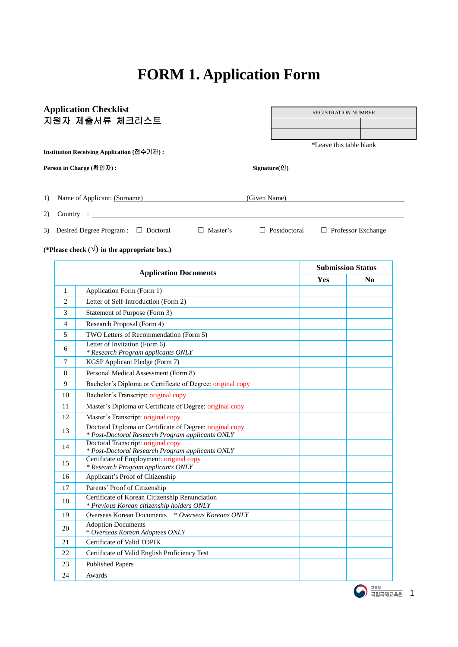# **FORM 1. Application Form**

|    |              | <b>Application Checklist</b>                                                                                 |              | <b>REGISTRATION NUMBER</b> |                         |                           |  |  |
|----|--------------|--------------------------------------------------------------------------------------------------------------|--------------|----------------------------|-------------------------|---------------------------|--|--|
|    |              | 지원자 제출서류 체크리스트                                                                                               |              |                            |                         |                           |  |  |
|    |              |                                                                                                              |              |                            |                         |                           |  |  |
|    |              |                                                                                                              |              |                            | *Leave this table blank |                           |  |  |
|    |              | Institution Receiving Application (접수기관):                                                                    |              |                            |                         |                           |  |  |
|    |              | Person in Charge (확인자):                                                                                      |              | $Sigmaer(\mathcal{Q})$     |                         |                           |  |  |
| 1) |              | Name of Applicant: (Surname)                                                                                 | (Given Name) |                            |                         |                           |  |  |
| 2) | Country:     |                                                                                                              |              |                            |                         |                           |  |  |
| 3) |              | Desired Degree Program : □ Doctoral<br>$\Box$ Master's                                                       |              | $\Box$ Postdoctoral        |                         | $\Box$ Professor Exchange |  |  |
|    |              | (*Please check $(\sqrt{})$ in the appropriate box.)                                                          |              |                            |                         |                           |  |  |
|    |              | <b>Application Documents</b>                                                                                 |              |                            |                         | <b>Submission Status</b>  |  |  |
|    |              |                                                                                                              |              |                            | Yes                     | No                        |  |  |
|    | $\mathbf{1}$ | Application Form (Form 1)                                                                                    |              |                            |                         |                           |  |  |
|    | 2            | Letter of Self-Introduction (Form 2)                                                                         |              |                            |                         |                           |  |  |
|    | 3            | Statement of Purpose (Form 3)                                                                                |              |                            |                         |                           |  |  |
|    | 4            | Research Proposal (Form 4)                                                                                   |              |                            |                         |                           |  |  |
|    | 5            | TWO Letters of Recommendation (Form 5)                                                                       |              |                            |                         |                           |  |  |
|    | 6            | Letter of Invitation (Form 6)<br>* Research Program applicants ONLY                                          |              |                            |                         |                           |  |  |
|    | 7            | KGSP Applicant Pledge (Form 7)                                                                               |              |                            |                         |                           |  |  |
|    | 8            | Personal Medical Assessment (Form 8)                                                                         |              |                            |                         |                           |  |  |
|    | 9            | Bachelor's Diploma or Certificate of Degree: original copy                                                   |              |                            |                         |                           |  |  |
|    | 10           | Bachelor's Transcript: original copy                                                                         |              |                            |                         |                           |  |  |
|    | 11           | Master's Diploma or Certificate of Degree: original copy                                                     |              |                            |                         |                           |  |  |
|    | 12           | Master's Transcript: original copy                                                                           |              |                            |                         |                           |  |  |
|    | 13           | Doctoral Diploma or Certificate of Degree: original copy<br>* Post-Doctoral Research Program applicants ONLY |              |                            |                         |                           |  |  |
|    | 14           | Doctoral Transcript: original copy<br>* Post-Doctoral Research Program applicants ONLY                       |              |                            |                         |                           |  |  |
|    | 15           | Certificate of Employment: original copy<br>* Research Program applicants ONLY                               |              |                            |                         |                           |  |  |
|    | 16           | Applicant's Proof of Citizenship                                                                             |              |                            |                         |                           |  |  |
|    | 17           | Parents' Proof of Citizenship                                                                                |              |                            |                         |                           |  |  |
|    | 18           | Certificate of Korean Citizenship Renunciation<br>* Previous Korean citizenship holders ONLY                 |              |                            |                         |                           |  |  |
|    | 19           | <b>Overseas Korean Documents</b><br>* Overseas Koreans ONLY                                                  |              |                            |                         |                           |  |  |
|    | 20           | <b>Adoption Documents</b><br>* Overseas Korean Adoptees ONLY                                                 |              |                            |                         |                           |  |  |
|    | 21           | Certificate of Valid TOPIK                                                                                   |              |                            |                         |                           |  |  |
|    | 22           | Certificate of Valid English Proficiency Test                                                                |              |                            |                         |                           |  |  |
|    | 23           | <b>Published Papers</b>                                                                                      |              |                            |                         |                           |  |  |
|    | 24           | Awards                                                                                                       |              |                            |                         |                           |  |  |

 $\bigcirc$   $\frac{244}{787}$   $\frac{244}{787}$  1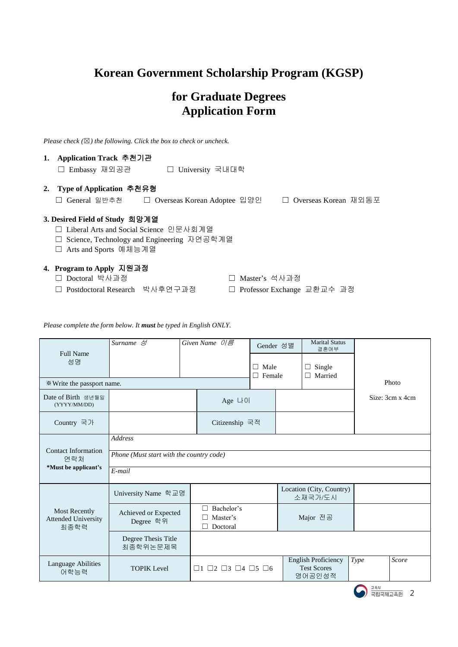### **Korean Government Scholarship Program (KGSP)**

### **for Graduate Degrees Application Form**

*Please check (*☒*) the following. Click the box to check or uncheck.* 

| 1. Application Track 추천기관<br>□ Embassy 재외공관<br>□ University 국내대학                                                                                      |
|-------------------------------------------------------------------------------------------------------------------------------------------------------|
| 2. Type of Application 추천유형                                                                                                                           |
| □ Overseas Korean 재외동포<br>□ Overseas Korean Adoptee 입양인<br>General 일반추천                                                                               |
| 3. Desired Field of Study 희망계열<br>- Liberal Arts and Social Science 인문사회계열<br>□ Science, Technology and Engineering 자연공학계열<br>□ Arts and Sports 예체능계열 |
| 4. Program to Apply 지원과정<br>Doctoral 박사과정<br>Master's 석사과정                                                                                            |

- 
- ☐ Postdoctoral Research 박사후연구과정 ☐ Professor Exchange 교환교수 과정

*Please complete the form below. It must be typed in English ONLY.*

| <b>Full Name</b><br>성명                                     | Surname 성                                                            |  | Given Name $0/\epsilon$                               | Gender 성별<br>Male<br>П<br>П<br>Female |  | <b>Marital Status</b><br>결혼여부<br>Single<br>$\Box$<br>Married<br>П |                |                 |
|------------------------------------------------------------|----------------------------------------------------------------------|--|-------------------------------------------------------|---------------------------------------|--|-------------------------------------------------------------------|----------------|-----------------|
| * Write the passport name.                                 |                                                                      |  |                                                       |                                       |  |                                                                   |                | Photo           |
| Date of Birth 생년월일<br>(YYYY/MM/DD)                         |                                                                      |  | Age LIOI                                              |                                       |  |                                                                   |                | Size: 3cm x 4cm |
| Country 국가                                                 |                                                                      |  | Citizenship 국적                                        |                                       |  |                                                                   |                |                 |
| <b>Contact Information</b><br>연락처<br>*Must be applicant's  | <b>Address</b><br>Phone (Must start with the country code)<br>E-mail |  |                                                       |                                       |  |                                                                   |                |                 |
|                                                            | University Name 학교명                                                  |  |                                                       |                                       |  | Location (City, Country)<br>소재국가/도시                               |                |                 |
| <b>Most Recently</b><br><b>Attended University</b><br>최종학력 | Achieved or Expected<br>Degree 학위                                    |  | Bachelor's<br>Master's<br>Doctoral                    | Major 전공                              |  |                                                                   |                |                 |
|                                                            | Degree Thesis Title<br>최종학위논문제목                                      |  |                                                       |                                       |  |                                                                   |                |                 |
| <b>Language Abilities</b><br>어학능력                          | <b>TOPIK Level</b>                                                   |  | $\Box$ 1 $\Box$ 2 $\Box$ 3 $\Box$ 4 $\Box$ 5 $\Box$ 6 |                                       |  | English Proficiency<br><b>Test Scores</b><br>영어공인성적               | <b>Type</b>    | Score           |
|                                                            |                                                                      |  |                                                       |                                       |  |                                                                   | 교육부<br>국립국제교육원 | 2               |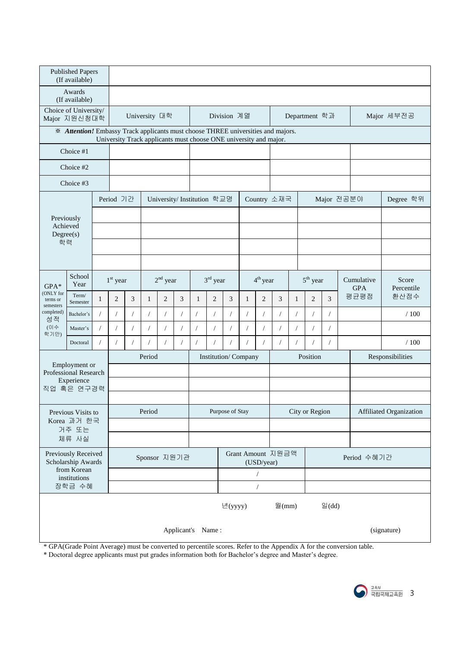| <b>Published Papers</b><br>(If available) |                                                                                  |              |           |            |               |                |                |                            |                |                                                                   |                      |                |                   |                         |                |                          |                     |                  |
|-------------------------------------------|----------------------------------------------------------------------------------|--------------|-----------|------------|---------------|----------------|----------------|----------------------------|----------------|-------------------------------------------------------------------|----------------------|----------------|-------------------|-------------------------|----------------|--------------------------|---------------------|------------------|
| Awards<br>(If available)                  |                                                                                  |              |           |            |               |                |                |                            |                |                                                                   |                      |                |                   |                         |                |                          |                     |                  |
|                                           | Choice of University/<br>Major 지원신청대학                                            |              |           |            | University 대학 |                |                |                            |                | Division 계열                                                       |                      |                |                   |                         | Department 학과  |                          |                     | Major 세부전공       |
|                                           | * Attention! Embassy Track applicants must choose THREE universities and majors. |              |           |            |               |                |                |                            |                | University Track applicants must choose ONE university and major. |                      |                |                   |                         |                |                          |                     |                  |
|                                           | Choice #1                                                                        |              |           |            |               |                |                |                            |                |                                                                   |                      |                |                   |                         |                |                          |                     |                  |
|                                           | Choice #2                                                                        |              |           |            |               |                |                |                            |                |                                                                   |                      |                |                   |                         |                |                          |                     |                  |
|                                           | Choice #3                                                                        |              |           |            |               |                |                |                            |                |                                                                   |                      |                |                   |                         |                |                          |                     |                  |
|                                           |                                                                                  |              | Period 기간 |            |               |                |                | University/Institution 학교명 |                |                                                                   |                      |                | Country 소재국       |                         |                | Major 전공분야               |                     | Degree 학위        |
| Previously                                |                                                                                  |              |           |            |               |                |                |                            |                |                                                                   |                      |                |                   |                         |                |                          |                     |                  |
| Achieved<br>Degree(s)                     |                                                                                  |              |           |            |               |                |                |                            |                |                                                                   |                      |                |                   |                         |                |                          |                     |                  |
| 학력                                        |                                                                                  |              |           |            |               |                |                |                            |                |                                                                   |                      |                |                   |                         |                |                          |                     |                  |
|                                           |                                                                                  |              |           |            |               |                |                |                            |                |                                                                   |                      |                |                   |                         |                |                          |                     |                  |
| $GPA*$                                    | School<br>Year                                                                   |              |           |            | $1st$ year    |                | $2nd$ year     |                            | $3rd$ year     |                                                                   | 4 <sup>th</sup> year |                |                   | $5th$ year              |                | Cumulative<br><b>GPA</b> | Score<br>Percentile |                  |
| (ONLY for<br>terms or<br>semesters        | Term/<br>Semester                                                                | $\mathbf{1}$ | 2         | 3          | $\mathbf{1}$  | $\overline{2}$ | $\mathfrak{Z}$ | $\mathbf{1}$               | $\overline{2}$ | 3                                                                 | $\mathbf{1}$         | $\overline{2}$ | 3                 | $\mathbf{1}$            | $\overline{2}$ | $\overline{3}$           | 평균평점                | 환산점수             |
| completed)<br>성적                          | Bachelor's                                                                       |              |           | $\sqrt{2}$ | $\sqrt{2}$    | $\sqrt{2}$     | $\sqrt{2}$     | $\sqrt{2}$                 | $\sqrt{2}$     | $\sqrt{2}$                                                        | $\prime$             |                | $\sqrt{2}$        | $\sqrt{2}$              | $\sqrt{2}$     | $\sqrt{2}$               |                     | /100             |
| (이수<br>학기만)                               | Master's                                                                         |              |           |            | $\sqrt{2}$    | $\sqrt{2}$     | $\overline{1}$ | 7                          | $\prime$       |                                                                   |                      |                | $\sqrt{2}$        | $\prime$                | $\sqrt{2}$     | $\sqrt{2}$               |                     |                  |
|                                           | Doctoral                                                                         |              |           |            |               | $\prime$       |                | $\sqrt{2}$                 |                |                                                                   |                      |                | $\prime$          |                         | $\prime$       |                          |                     | /100             |
|                                           | Employment or                                                                    |              |           |            | Period        |                |                |                            |                | Institution/Company                                               |                      |                |                   |                         | Position       |                          |                     | Responsibilities |
|                                           | Professional Research<br>Experience                                              |              |           |            |               |                |                |                            |                |                                                                   |                      |                |                   |                         |                |                          |                     |                  |
|                                           | 직업 혹은 연구경력                                                                       |              |           |            |               |                |                |                            |                |                                                                   |                      |                |                   |                         |                |                          |                     |                  |
|                                           | Previous Visits to                                                               |              |           |            | Period        |                |                | Purpose of Stay            |                |                                                                   | City or Region       |                |                   | Affiliated Organization |                |                          |                     |                  |
|                                           | Korea 과거 한국<br>거주 또는                                                             |              |           |            |               |                |                |                            |                |                                                                   |                      |                |                   |                         |                |                          |                     |                  |
| 체류 사실                                     |                                                                                  |              |           |            |               |                |                |                            |                |                                                                   |                      |                |                   |                         |                |                          |                     |                  |
|                                           | Previously Received<br>Scholarship Awards                                        |              |           |            | Sponsor 지원기관  |                |                |                            |                |                                                                   |                      | (USD/year)     | Grant Amount 지원금액 |                         |                |                          | Period 수혜기간         |                  |
| from Korean<br>institutions               |                                                                                  |              |           |            |               |                |                |                            |                |                                                                   | $\sqrt{2}$           |                |                   |                         |                |                          |                     |                  |
|                                           | 장학금 수혜                                                                           |              |           |            |               |                |                |                            |                |                                                                   |                      | $\sqrt{ }$     |                   |                         |                |                          |                     |                  |
| 년(yyyy)                                   |                                                                                  |              |           |            |               |                |                | 월 $(mm)$                   |                |                                                                   | $\mathcal{Q}(dd)$    |                |                   |                         |                |                          |                     |                  |
|                                           | (signature)<br>Applicant's Name:                                                 |              |           |            |               |                |                |                            |                |                                                                   |                      |                |                   |                         |                |                          |                     |                  |

\* GPA(Grade Point Average) must be converted to percentile scores. Refer to the Appendix A for the conversion table.

\* Doctoral degree applicants must put grades information both for Bachelor's degree and Master's degree.

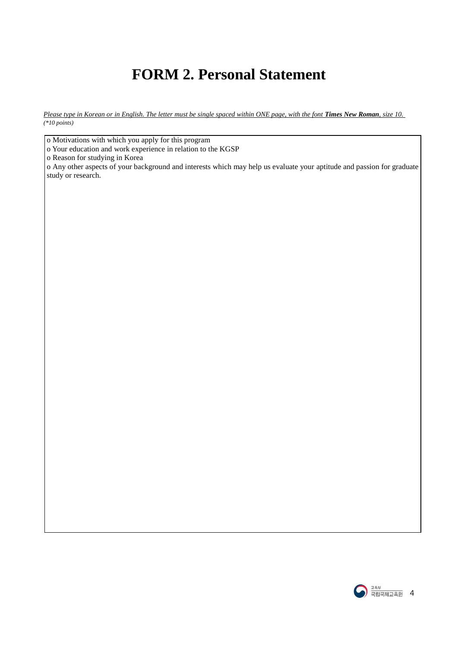### **FORM 2. Personal Statement**

*Please type in Korean or in English. The letter must be single spaced within ONE page, with the font Times New Roman, size 10. (\*10 points)*

o Motivations with which you apply for this program

o Your education and work experience in relation to the KGSP

o Reason for studying in Korea

o Any other aspects of your background and interests which may help us evaluate your aptitude and passion for graduate study or research.

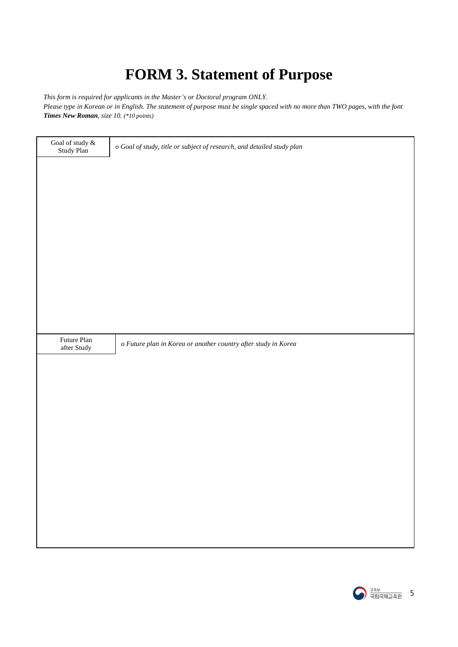## **FORM 3. Statement of Purpose**

*This form is required for applicants in the Master's or Doctoral program ONLY.* 

*Please type in Korean or in English. The statement of purpose must be single spaced with no more than TWO pages, with the font Times New Roman, size 10. (\*10 points)*

| Goal of study &<br>Study Plan      | o Goal of study, title or subject of research, and detailed study plan |
|------------------------------------|------------------------------------------------------------------------|
|                                    |                                                                        |
|                                    |                                                                        |
|                                    |                                                                        |
|                                    |                                                                        |
|                                    |                                                                        |
|                                    |                                                                        |
|                                    |                                                                        |
|                                    |                                                                        |
| $\quad$ Future Plan<br>after Study | o Future plan in Korea or another country after study in Korea         |
|                                    |                                                                        |
|                                    |                                                                        |
|                                    |                                                                        |
|                                    |                                                                        |
|                                    |                                                                        |
|                                    |                                                                        |
|                                    |                                                                        |
|                                    |                                                                        |
|                                    |                                                                        |
|                                    |                                                                        |

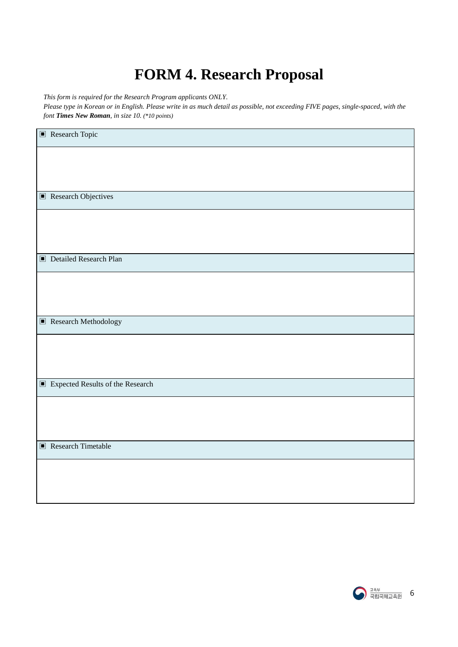## **FORM 4. Research Proposal**

*This form is required for the Research Program applicants ONLY.* 

*Please type in Korean or in English. Please write in as much detail as possible, not exceeding FIVE pages, single-spaced, with the font Times New Roman, in size 10. (\*10 points)*

| $\blacksquare$<br>Research Topic    |
|-------------------------------------|
|                                     |
|                                     |
| $\blacksquare$ Research Objectives  |
|                                     |
|                                     |
| Detailed Research Plan              |
|                                     |
|                                     |
|                                     |
| $\blacksquare$ Research Methodology |
|                                     |
|                                     |
| Expected Results of the Research    |
|                                     |
|                                     |
| $\blacksquare$ Research Timetable   |
|                                     |
|                                     |
|                                     |

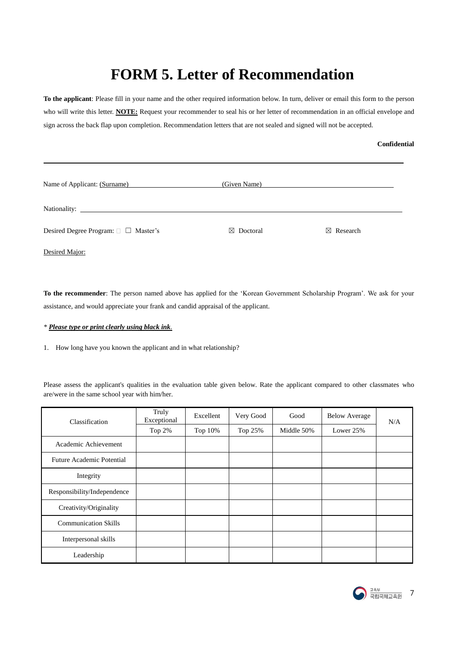### **FORM 5. Letter of Recommendation**

**To the applicant**: Please fill in your name and the other required information below. In turn, deliver or email this form to the person who will write this letter. **NOTE:** Request your recommender to seal his or her letter of recommendation in an official envelope and sign across the back flap upon completion. Recommendation letters that are not sealed and signed will not be accepted.

#### **Confidential**

| Name of Applicant: (Surname)         | (Given Name)         |               |
|--------------------------------------|----------------------|---------------|
|                                      |                      |               |
| Desired Degree Program: □ □ Master's | $\boxtimes$ Doctoral | Research<br>⊠ |

Desired Major:

l,

**To the recommender**: The person named above has applied for the 'Korean Government Scholarship Program'. We ask for your assistance, and would appreciate your frank and candid appraisal of the applicant.

#### *\* Please type or print clearly using black ink.*

1. How long have you known the applicant and in what relationship?

Please assess the applicant's qualities in the evaluation table given below. Rate the applicant compared to other classmates who are/were in the same school year with him/her.

| Classification                   | Truly<br>Exceptional | Excellent | Very Good | Good       | <b>Below Average</b> | N/A |
|----------------------------------|----------------------|-----------|-----------|------------|----------------------|-----|
|                                  | Top 2%               | Top 10%   | Top 25%   | Middle 50% | Lower 25%            |     |
| Academic Achievement             |                      |           |           |            |                      |     |
| <b>Future Academic Potential</b> |                      |           |           |            |                      |     |
| Integrity                        |                      |           |           |            |                      |     |
| Responsibility/Independence      |                      |           |           |            |                      |     |
| Creativity/Originality           |                      |           |           |            |                      |     |
| <b>Communication Skills</b>      |                      |           |           |            |                      |     |
| Interpersonal skills             |                      |           |           |            |                      |     |
| Leadership                       |                      |           |           |            |                      |     |

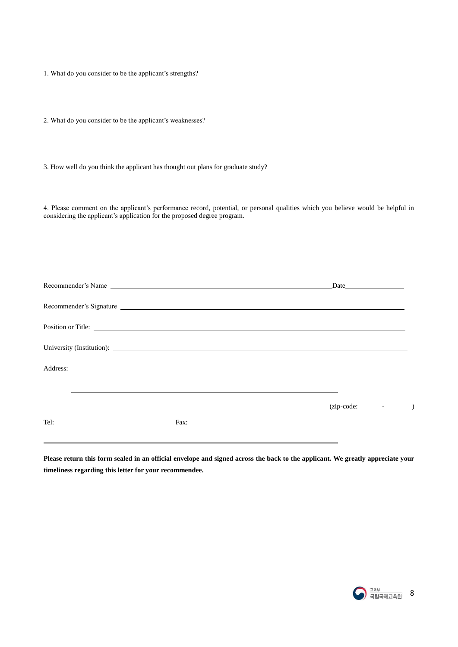1. What do you consider to be the applicant's strengths?

2. What do you consider to be the applicant's weaknesses?

3. How well do you think the applicant has thought out plans for graduate study?

4. Please comment on the applicant's performance record, potential, or personal qualities which you believe would be helpful in considering the applicant's application for the proposed degree program.

|                      | Recommender's Name                                                                                                                                                                                                                   | Date                              |  |
|----------------------|--------------------------------------------------------------------------------------------------------------------------------------------------------------------------------------------------------------------------------------|-----------------------------------|--|
|                      | Recommender's Signature                                                                                                                                                                                                              |                                   |  |
|                      | Position or Title:                                                                                                                                                                                                                   |                                   |  |
|                      | University (Institution): <u>contract the contract of the contract of the contract of the contract of the contract of the contract of the contract of the contract of the contract of the contract of the contract of the contra</u> |                                   |  |
|                      | Address: No. 2016. The contract of the contract of the contract of the contract of the contract of the contract of the contract of the contract of the contract of the contract of the contract of the contract of the contrac       |                                   |  |
|                      |                                                                                                                                                                                                                                      |                                   |  |
|                      |                                                                                                                                                                                                                                      | (zip-code:<br>$\omega_{\rm{max}}$ |  |
| Tel: $\qquad \qquad$ |                                                                                                                                                                                                                                      |                                   |  |

**Please return this form sealed in an official envelope and signed across the back to the applicant. We greatly appreciate your timeliness regarding this letter for your recommendee.**

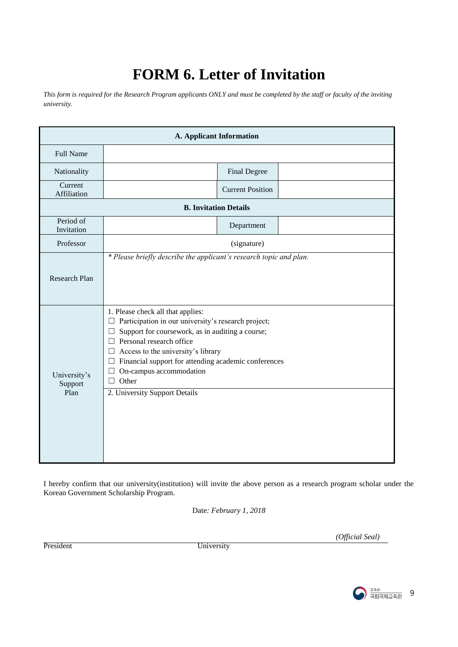### **FORM 6. Letter of Invitation**

*This form is required for the Research Program applicants ONLY and must be completed by the staff or faculty of the inviting university.* 

|                                 |                                                                                                                                                                                                                                                                                                                                                                                      | A. Applicant Information     |  |
|---------------------------------|--------------------------------------------------------------------------------------------------------------------------------------------------------------------------------------------------------------------------------------------------------------------------------------------------------------------------------------------------------------------------------------|------------------------------|--|
| <b>Full Name</b>                |                                                                                                                                                                                                                                                                                                                                                                                      |                              |  |
| Nationality                     |                                                                                                                                                                                                                                                                                                                                                                                      | Final Degree                 |  |
| Current<br>Affiliation          |                                                                                                                                                                                                                                                                                                                                                                                      | <b>Current Position</b>      |  |
|                                 |                                                                                                                                                                                                                                                                                                                                                                                      | <b>B.</b> Invitation Details |  |
| Period of<br>Invitation         |                                                                                                                                                                                                                                                                                                                                                                                      | Department                   |  |
| Professor                       |                                                                                                                                                                                                                                                                                                                                                                                      | (signature)                  |  |
| <b>Research Plan</b>            | * Please briefly describe the applicant's research topic and plan.                                                                                                                                                                                                                                                                                                                   |                              |  |
| University's<br>Support<br>Plan | 1. Please check all that applies:<br>Participation in our university's research project;<br>ப<br>Support for coursework, as in auditing a course;<br>Personal research office<br>$\Box$<br>Access to the university's library<br>ப<br>Financial support for attending academic conferences<br>⊔<br>On-campus accommodation<br>ш<br>Other<br>$\perp$<br>2. University Support Details |                              |  |

I hereby confirm that our university(institution) will invite the above person as a research program scholar under the Korean Government Scholarship Program.

Date*: February 1, 2018*

President University

*(Official Seal)*

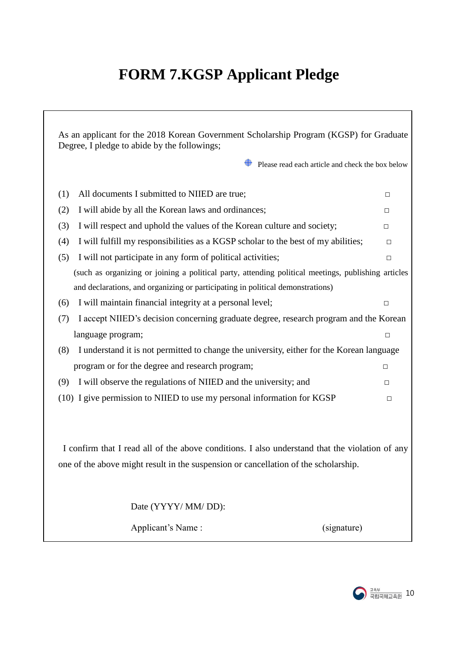# **FORM 7.KGSP Applicant Pledge**

| As an applicant for the 2018 Korean Government Scholarship Program (KGSP) for Graduate<br>Degree, I pledge to abide by the followings;                                                |        |  |  |  |  |  |
|---------------------------------------------------------------------------------------------------------------------------------------------------------------------------------------|--------|--|--|--|--|--|
| Please read each article and check the box below                                                                                                                                      |        |  |  |  |  |  |
| All documents I submitted to NIIED are true;<br>(1)                                                                                                                                   | □      |  |  |  |  |  |
| I will abide by all the Korean laws and ordinances;<br>(2)                                                                                                                            | $\Box$ |  |  |  |  |  |
| I will respect and uphold the values of the Korean culture and society;<br>(3)                                                                                                        | $\Box$ |  |  |  |  |  |
| I will fulfill my responsibilities as a KGSP scholar to the best of my abilities;<br>(4)                                                                                              | $\Box$ |  |  |  |  |  |
| I will not participate in any form of political activities;<br>(5)                                                                                                                    | $\Box$ |  |  |  |  |  |
| (such as organizing or joining a political party, attending political meetings, publishing articles                                                                                   |        |  |  |  |  |  |
| and declarations, and organizing or participating in political demonstrations)                                                                                                        |        |  |  |  |  |  |
| I will maintain financial integrity at a personal level;<br>(6)                                                                                                                       | $\Box$ |  |  |  |  |  |
| I accept NIIED's decision concerning graduate degree, research program and the Korean<br>(7)                                                                                          |        |  |  |  |  |  |
| language program;                                                                                                                                                                     | $\Box$ |  |  |  |  |  |
| I understand it is not permitted to change the university, either for the Korean language<br>(8)                                                                                      |        |  |  |  |  |  |
| program or for the degree and research program;                                                                                                                                       | $\Box$ |  |  |  |  |  |
| I will observe the regulations of NIIED and the university; and<br>(9)                                                                                                                | □      |  |  |  |  |  |
| (10) I give permission to NIIED to use my personal information for KGSP                                                                                                               | $\Box$ |  |  |  |  |  |
| I confirm that I read all of the above conditions. I also understand that the violation of any<br>one of the above might result in the suspension or cancellation of the scholarship. |        |  |  |  |  |  |
| Date (YYYY/ MM/ DD):                                                                                                                                                                  |        |  |  |  |  |  |
| Applicant's Name:<br>(signature)                                                                                                                                                      |        |  |  |  |  |  |

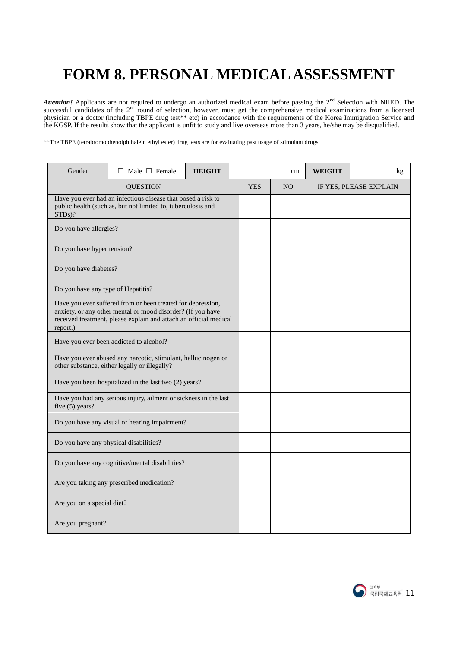## **FORM 8. PERSONAL MEDICAL ASSESSMENT**

*Attention!* Applicants are not required to undergo an authorized medical exam before passing the 2<sup>nd</sup> Selection with NIIED. The successful candidates of the  $2<sup>nd</sup>$  round of selection, however, must get the comprehensive medical examinations from a licensed physician or a doctor (including TBPE drug test\*\* etc) in accordance with the requirements of the Korea Immigration Service and the KGSP. If the results show that the applicant is unfit to study and live overseas more than 3 years, he/she may be disqualified.

\*\*The TBPE (tetrabromophenolphthalein ethyl ester) drug tests are for evaluating past usage of stimulant drugs.

| Gender                             | Male $\Box$ Female                                                                                                                                                                              | <b>HEIGHT</b> |                | cm | <b>WEIGHT</b>          | kg |
|------------------------------------|-------------------------------------------------------------------------------------------------------------------------------------------------------------------------------------------------|---------------|----------------|----|------------------------|----|
|                                    | <b>QUESTION</b>                                                                                                                                                                                 | <b>YES</b>    | N <sub>O</sub> |    | IF YES, PLEASE EXPLAIN |    |
| STDs)?                             | Have you ever had an infectious disease that posed a risk to<br>public health (such as, but not limited to, tuberculosis and                                                                    |               |                |    |                        |    |
| Do you have allergies?             |                                                                                                                                                                                                 |               |                |    |                        |    |
| Do you have hyper tension?         |                                                                                                                                                                                                 |               |                |    |                        |    |
| Do you have diabetes?              |                                                                                                                                                                                                 |               |                |    |                        |    |
| Do you have any type of Hepatitis? |                                                                                                                                                                                                 |               |                |    |                        |    |
| report.)                           | Have you ever suffered from or been treated for depression,<br>anxiety, or any other mental or mood disorder? (If you have<br>received treatment, please explain and attach an official medical |               |                |    |                        |    |
|                                    | Have you ever been addicted to alcohol?                                                                                                                                                         |               |                |    |                        |    |
|                                    | Have you ever abused any narcotic, stimulant, hallucinogen or<br>other substance, either legally or illegally?                                                                                  |               |                |    |                        |    |
|                                    | Have you been hospitalized in the last two (2) years?                                                                                                                                           |               |                |    |                        |    |
| five $(5)$ years?                  | Have you had any serious injury, ailment or sickness in the last                                                                                                                                |               |                |    |                        |    |
|                                    | Do you have any visual or hearing impairment?                                                                                                                                                   |               |                |    |                        |    |
|                                    | Do you have any physical disabilities?                                                                                                                                                          |               |                |    |                        |    |
|                                    | Do you have any cognitive/mental disabilities?                                                                                                                                                  |               |                |    |                        |    |
|                                    | Are you taking any prescribed medication?                                                                                                                                                       |               |                |    |                        |    |
| Are you on a special diet?         |                                                                                                                                                                                                 |               |                |    |                        |    |
| Are you pregnant?                  |                                                                                                                                                                                                 |               |                |    |                        |    |

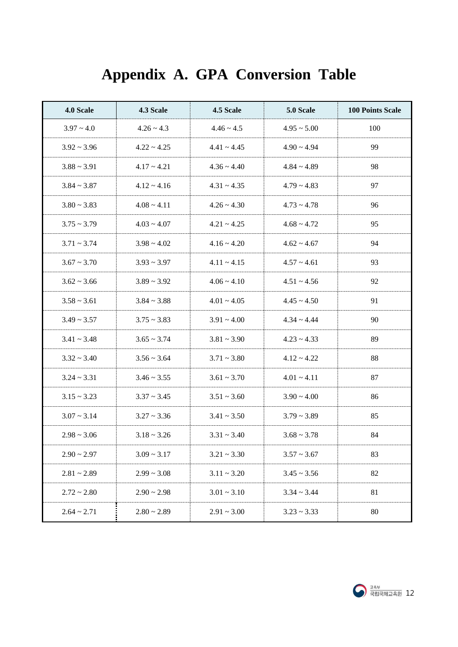| 4.0 Scale           | 4.3 Scale        | 4.5 Scale        | 5.0 Scale        | <b>100 Points Scale</b> |
|---------------------|------------------|------------------|------------------|-------------------------|
| $3.97 - 4.0$        | $4.26 \sim 4.3$  | $4.46 \sim 4.5$  | $4.95 \sim 5.00$ | 100                     |
| $3.92 \approx 3.96$ | $4.22 \div 4.25$ | $4.41 \sim 4.45$ | $4.90 \sim 4.94$ | 99                      |
| $3.88 \sim 3.91$    | $4.17 - 4.21$    | $4.36 \sim 4.40$ | $4.84 \sim 4.89$ | 98                      |
| $3.84 \sim 3.87$    | $4.12 - 4.16$    | $4.31 - 4.35$    | $4.79 \sim 4.83$ | 97                      |
| $3.80 - 3.83$       | $4.08 \sim 4.11$ | $4.26 \sim 4.30$ | $4.73 \sim 4.78$ | 96                      |
| $3.75 \sim 3.79$    | $4.03 \sim 4.07$ | $4.21 - 4.25$    | $4.68 \sim 4.72$ | 95                      |
| $3.71 - 3.74$       | $3.98 \sim 4.02$ | $4.16 - 4.20$    | $4.62 \sim 4.67$ | 94                      |
| $3.67 - 3.70$       | $3.93 \sim 3.97$ | $4.11 - 4.15$    | $4.57 \sim 4.61$ | 93                      |
| $3.62 \approx 3.66$ | $3.89 - 3.92$    | $4.06 \sim 4.10$ | $4.51 - 4.56$    | 92                      |
| $3.58 \sim 3.61$    | $3.84 - 3.88$    | $4.01 - 4.05$    | $4.45 \sim 4.50$ | 91                      |
| $3.49 \sim 3.57$    | $3.75 \sim 3.83$ | $3.91 - 4.00$    | $4.34 \sim 4.44$ | 90                      |
| $3.41 - 3.48$       | $3.65 \sim 3.74$ | $3.81 - 3.90$    | $4.23 \sim 4.33$ | 89                      |
| $3.32 \sim 3.40$    | $3.56 \sim 3.64$ | $3.71 - 3.80$    | $4.12 - 4.22$    | 88                      |
| $3.24 \sim 3.31$    | $3.46 \sim 3.55$ | $3.61 - 3.70$    | $4.01 - 4.11$    | 87                      |
| $3.15 - 3.23$       | $3.37 \sim 3.45$ | $3.51 - 3.60$    | $3.90 - 4.00$    | 86                      |
| $3.07 - 3.14$       | $3.27 - 3.36$    | $3.41 - 3.50$    | $3.79 - 3.89$    | 85                      |
| $2.98 - 3.06$       | $3.18 \sim 3.26$ | $3.31 - 3.40$    | $3.68 \sim 3.78$ | 84                      |
| $2.90 \sim 2.97$    | $3.09 - 3.17$    | $3.21 - 3.30$    | $3.57 - 3.67$    | 83                      |
| $2.81 - 2.89$       | $2.99 - 3.08$    | $3.11 - 3.20$    | $3.45 \sim 3.56$ | 82                      |
| $2.72 \sim 2.80$    | $2.90 - 2.98$    | $3.01 - 3.10$    | $3.34 \sim 3.44$ | 81                      |
| $2.64 \sim 2.71$    | $2.80 - 2.89$    | $2.91 - 3.00$    | $3.23 - 3.33$    | 80                      |

# **Appendix A. GPA Conversion Table**

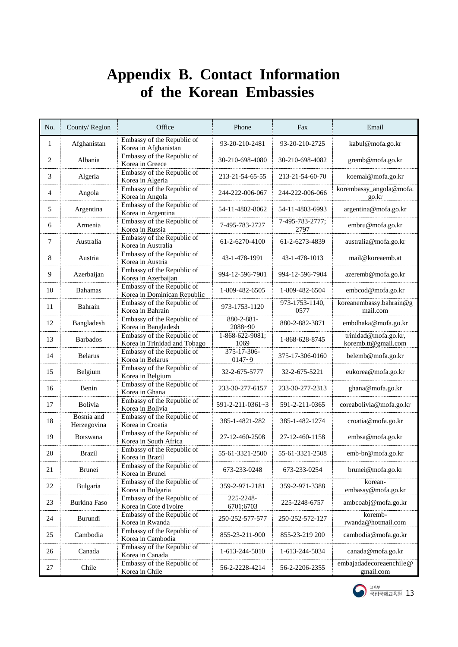### **Appendix B. Contact Information of the Korean Embassies**

| No. | County/Region             | Office                                                     | Phone                      | Fax                     | Email                                       |
|-----|---------------------------|------------------------------------------------------------|----------------------------|-------------------------|---------------------------------------------|
| 1   | Afghanistan               | Embassy of the Republic of<br>Korea in Afghanistan         | 93-20-210-2481             | 93-20-210-2725          | kabul@mofa.go.kr                            |
| 2   | Albania                   | Embassy of the Republic of<br>Korea in Greece              | 30-210-698-4080            | 30-210-698-4082         | gremb@mofa.go.kr                            |
| 3   | Algeria                   | Embassy of the Republic of<br>Korea in Algeria             | 213-21-54-65-55            | 213-21-54-60-70         | koemal@mofa.go.kr                           |
| 4   | Angola                    | Embassy of the Republic of<br>Korea in Angola              | 244-222-006-067            | 244-222-006-066         | korembassy_angola@mofa.<br>go.kr            |
| 5   | Argentina                 | Embassy of the Republic of<br>Korea in Argentina           | 54-11-4802-8062            | 54-11-4803-6993         | argentina@mofa.go.kr                        |
| 6   | Armenia                   | Embassy of the Republic of<br>Korea in Russia              | 7-495-783-2727             | 7-495-783-2777;<br>2797 | embru@mofa.go.kr                            |
| 7   | Australia                 | Embassy of the Republic of<br>Korea in Australia           | 61-2-6270-4100             | 61-2-6273-4839          | australia@mofa.go.kr                        |
| 8   | Austria                   | Embassy of the Republic of<br>Korea in Austria             | 43-1-478-1991              | 43-1-478-1013           | mail@koreaemb.at                            |
| 9   | Azerbaijan                | Embassy of the Republic of<br>Korea in Azerbaijan          | 994-12-596-7901            | 994-12-596-7904         | azeremb@mofa.go.kr                          |
| 10  | <b>Bahamas</b>            | Embassy of the Republic of<br>Korea in Dominican Republic  | 1-809-482-6505             | 1-809-482-6504          | embcod@mofa.go.kr                           |
| 11  | Bahrain                   | Embassy of the Republic of<br>Korea in Bahrain             | 973-1753-1120              | 973-1753-1140,<br>0577  | koreanembassy.bahrain@g<br>mail.com         |
| 12  | Bangladesh                | Embassy of the Republic of<br>Korea in Bangladesh          | 880-2-881-<br>2088~90      | 880-2-882-3871          | embdhaka@mofa.go.kr                         |
| 13  | <b>Barbados</b>           | Embassy of the Republic of<br>Korea in Trinidad and Tobago | $1-868-622-9081;$<br>1069  | 1-868-628-8745          | trinidad@mofa.go.kr,<br>koremb.tt@gmail.com |
| 14  | <b>Belarus</b>            | Embassy of the Republic of<br>Korea in Belarus             | 375-17-306-<br>$0147 - 9$  | 375-17-306-0160         | belemb@mofa.go.kr                           |
| 15  | Belgium                   | Embassy of the Republic of<br>Korea in Belgium             | 32-2-675-5777              | 32-2-675-5221           | eukorea@mofa.go.kr                          |
| 16  | Benin                     | Embassy of the Republic of<br>Korea in Ghana               | 233-30-277-6157            | 233-30-277-2313         | ghana@mofa.go.kr                            |
| 17  | <b>Bolivia</b>            | Embassy of the Republic of<br>Korea in Bolivia             | $591 - 2 - 211 - 0361 - 3$ | 591-2-211-0365          | coreabolivia@mofa.go.kr                     |
| 18  | Bosnia and<br>Herzegovina | Embassy of the Republic of<br>Korea in Croatia             | 385-1-4821-282             | 385-1-482-1274          | croatia@mofa.go.kr                          |
| 19  | <b>Botswana</b>           | Embassy of the Republic of<br>Korea in South Africa        | 27-12-460-2508             | 27-12-460-1158          | embsa@mofa.go.kr                            |
| 20  | Brazil                    | Embassy of the Republic of<br>Korea in Brazil              | 55-61-3321-2500            | 55-61-3321-2508         | emb-br@mofa.go.kr                           |
| 21  | <b>Brunei</b>             | Embassy of the Republic of<br>Korea in Brunei              | 673-233-0248               | 673-233-0254            | brunei@mofa.go.kr                           |
| 22  | Bulgaria                  | Embassy of the Republic of<br>Korea in Bulgaria            | 359-2-971-2181             | 359-2-971-3388          | korean-<br>embassy@mofa.go.kr               |
| 23  | Burkina Faso              | Embassy of the Republic of<br>Korea in Cote d'Ivoire       | 225-2248-<br>6701;6703     | 225-2248-6757           | ambcoabj@mofa.go.kr                         |
| 24  | Burundi                   | Embassy of the Republic of<br>Korea in Rwanda              | 250-252-577-577            | 250-252-572-127         | koremb-<br>rwanda@hotmail.com               |
| 25  | Cambodia                  | Embassy of the Republic of<br>Korea in Cambodia            | 855-23-211-900             | 855-23-219 200          | cambodia@mofa.go.kr                         |
| 26  | Canada                    | Embassy of the Republic of<br>Korea in Canada              | 1-613-244-5010             | 1-613-244-5034          | canada@mofa.go.kr                           |
| 27  | Chile                     | Embassy of the Republic of<br>Korea in Chile               | 56-2-2228-4214             | 56-2-2206-2355          | embajadadecoreaenchile@<br>gmail.com        |

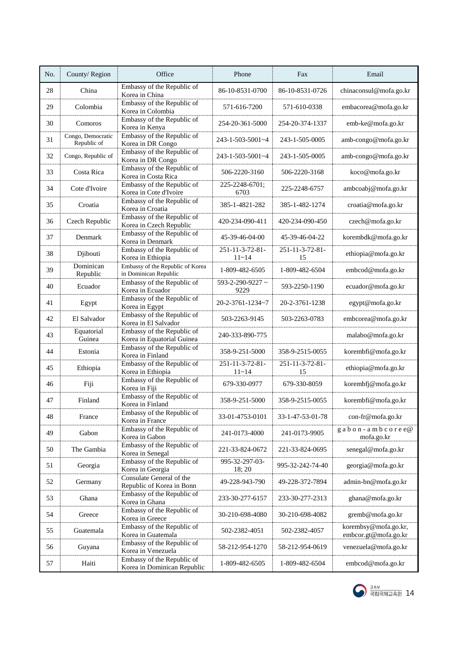| No. | County/Region                    | Office                                                    | Phone                            | Fax                   | Email                                        |
|-----|----------------------------------|-----------------------------------------------------------|----------------------------------|-----------------------|----------------------------------------------|
| 28  | China                            | Embassy of the Republic of<br>Korea in China              | 86-10-8531-0700                  | 86-10-8531-0726       | chinaconsul@mofa.go.kr                       |
| 29  | Colombia                         | Embassy of the Republic of<br>Korea in Colombia           | 571-616-7200                     | 571-610-0338          | embacorea@mofa.go.kr                         |
| 30  | Comoros                          | Embassy of the Republic of<br>Korea in Kenya              | 254-20-361-5000                  | 254-20-374-1337       | emb-ke@mofa.go.kr                            |
| 31  | Congo, Democratic<br>Republic of | Embassy of the Republic of<br>Korea in DR Congo           | $243 - 1 - 503 - 5001 - 4$       | 243-1-505-0005        | amb-congo@mofa.go.kr                         |
| 32  | Congo, Republic of               | Embassy of the Republic of<br>Korea in DR Congo           | 243-1-503-5001~4                 | 243-1-505-0005        | amb-congo@mofa.go.kr                         |
| 33  | Costa Rica                       | Embassy of the Republic of<br>Korea in Costa Rica         | 506-2220-3160                    | 506-2220-3168         | koco@mofa.go.kr                              |
| 34  | Cote d'Ivoire                    | Embassy of the Republic of<br>Korea in Cote d'Ivoire      | 225-2248-6701;<br>6703           | 225-2248-6757         | ambcoabj@mofa.go.kr                          |
| 35  | Croatia                          | Embassy of the Republic of<br>Korea in Croatia            | 385-1-4821-282                   | 385-1-482-1274        | croatia@mofa.go.kr                           |
| 36  | Czech Republic                   | Embassy of the Republic of<br>Korea in Czech Republic     | 420-234-090-411                  | 420-234-090-450       | czech@mofa.go.kr                             |
| 37  | Denmark                          | Embassy of the Republic of<br>Korea in Denmark            | 45-39-46-04-00                   | 45-39-46-04-22        | korembdk@mofa.go.kr                          |
| 38  | Djibouti                         | Embassy of the Republic of<br>Korea in Ethiopia           | 251-11-3-72-81-<br>$11 - 14$     | 251-11-3-72-81-<br>15 | ethiopia@mofa.go.kr                          |
| 39  | Dominican<br>Republic            | Embassy of the Republic of Korea<br>in Dominican Republic | 1-809-482-6505                   | 1-809-482-6504        | embcod@mofa.go.kr                            |
| 40  | Ecuador                          | Embassy of the Republic of<br>Korea in Ecuador            | $593 - 2 - 290 - 9227$ ~<br>9229 | 593-2250-1190         | ecuador@mofa.go.kr                           |
| 41  | Egypt                            | Embassy of the Republic of<br>Korea in Egypt              | 20-2-3761-1234~7                 | 20-2-3761-1238        | egypt@mofa.go.kr                             |
| 42  | El Salvador                      | Embassy of the Republic of<br>Korea in El Salvador        | 503-2263-9145                    | 503-2263-0783         | embcorea@mofa.go.kr                          |
| 43  | Equatorial<br>Guinea             | Embassy of the Republic of<br>Korea in Equatorial Guinea  | 240-333-890-775                  |                       | malabo@mofa.go.kr                            |
| 44  | Estonia                          | Embassy of the Republic of<br>Korea in Finland            | 358-9-251-5000                   | 358-9-2515-0055       | korembfi@mofa.go.kr                          |
| 45  | Ethiopia                         | Embassy of the Republic of<br>Korea in Ethiopia           | 251-11-3-72-81-<br>$11 - 14$     | 251-11-3-72-81-<br>15 | ethiopia@mofa.go.kr                          |
| 46  | Fiji                             | Embassy of the Republic of<br>Korea in Fiji               | 679-330-0977                     | 679-330-8059          | korembfj@mofa.go.kr                          |
| 47  | Finland                          | Embassy of the Republic of<br>Korea in Finland            | 358-9-251-5000                   | 358-9-2515-0055       | korembfi@mofa.go.kr                          |
| 48  | France                           | Embassy of the Republic of<br>Korea in France             | 33-01-4753-0101                  | 33-1-47-53-01-78      | con-fr@mofa.go.kr                            |
| 49  | Gabon                            | Embassy of the Republic of<br>Korea in Gabon              | 241-0173-4000                    | 241-0173-9905         | $g$ a b o n - a m b c o r e e@<br>mofa.go.kr |
| 50  | The Gambia                       | Embassy of the Republic of<br>Korea in Senegal            | 221-33-824-0672                  | 221-33-824-0695       | senegal@mofa.go.kr                           |
| 51  | Georgia                          | Embassy of the Republic of<br>Korea in Georgia            | 995-32-297-03-<br>18; 20         | 995-32-242-74-40      | georgia@mofa.go.kr                           |
| 52  | Germany                          | Consulate General of the<br>Republic of Korea in Bonn     | 49-228-943-790                   | 49-228-372-7894       | admin-bn@mofa.go.kr                          |
| 53  | Ghana                            | Embassy of the Republic of<br>Korea in Ghana              | 233-30-277-6157                  | 233-30-277-2313       | ghana@mofa.go.kr                             |
| 54  | Greece                           | Embassy of the Republic of<br>Korea in Greece             | 30-210-698-4080                  | 30-210-698-4082       | gremb@mofa.go.kr                             |
| 55  | Guatemala                        | Embassy of the Republic of<br>Korea in Guatemala          | 502-2382-4051                    | 502-2382-4057         | korembsy@mofa.go.kr,<br>embcor.gt@mofa.go.kr |
| 56  | Guyana                           | Embassy of the Republic of<br>Korea in Venezuela          | 58-212-954-1270                  | 58-212-954-0619       | venezuela@mofa.go.kr                         |
| 57  | Haiti                            | Embassy of the Republic of<br>Korea in Dominican Republic | 1-809-482-6505                   | 1-809-482-6504        | embcod@mofa.go.kr                            |

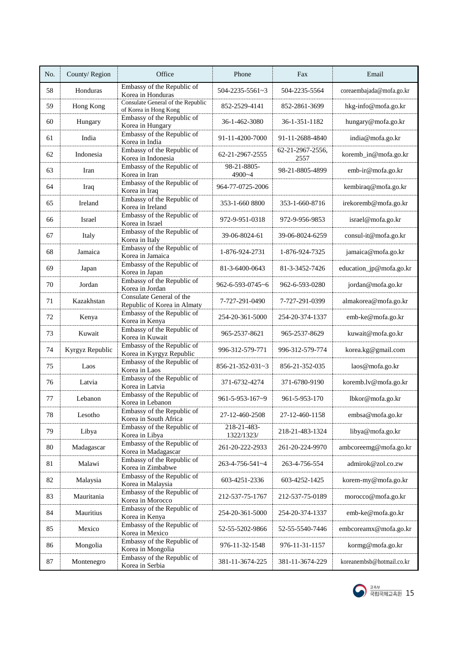| No. | County/Region   | Office                                                     | Phone                         | Fax                      | Email                     |
|-----|-----------------|------------------------------------------------------------|-------------------------------|--------------------------|---------------------------|
| 58  | Honduras        | Embassy of the Republic of<br>Korea in Honduras            | $504 - 2235 - 5561 - 3$       | 504-2235-5564            | coreaembajada@mofa.go.kr  |
| 59  | Hong Kong       | Consulate General of the Republic<br>of Korea in Hong Kong | 852-2529-4141                 | 852-2861-3699            | hkg-info@mofa.go.kr       |
| 60  | Hungary         | Embassy of the Republic of<br>Korea in Hungary             | 36-1-462-3080                 | 36-1-351-1182            | hungary@mofa.go.kr        |
| 61  | India           | Embassy of the Republic of<br>Korea in India               | 91-11-4200-7000               | 91-11-2688-4840          | india@mofa.go.kr          |
| 62  | Indonesia       | Embassy of the Republic of<br>Korea in Indonesia           | 62-21-2967-2555               | 62-21-2967-2556,<br>2557 | koremb_in@mofa.go.kr      |
| 63  | Iran            | Embassy of the Republic of<br>Korea in Iran                | 98-21-8805-<br>4900~4         | 98-21-8805-4899          | emb-ir@mofa.go.kr         |
| 64  | Iraq            | Embassy of the Republic of<br>Korea in Iraq                | 964-77-0725-2006              |                          | kembiraq@mofa.go.kr       |
| 65  | Ireland         | Embassy of the Republic of<br>Korea in Ireland             | 353-1-660 8800                | 353-1-660-8716           | irekoremb@mofa.go.kr      |
| 66  | Israel          | Embassy of the Republic of<br>Korea in Israel              | 972-9-951-0318                | 972-9-956-9853           | israel@mofa.go.kr         |
| 67  | Italy           | Embassy of the Republic of<br>Korea in Italy               | 39-06-8024-61                 | 39-06-8024-6259          | consul-it@mofa.go.kr      |
| 68  | Jamaica         | Embassy of the Republic of<br>Korea in Jamaica             | 1-876-924-2731                | 1-876-924-7325           | jamaica@mofa.go.kr        |
| 69  | Japan           | Embassy of the Republic of<br>Korea in Japan               | 81-3-6400-0643                | 81-3-3452-7426           | education_jp@mofa.go.kr   |
| 70  | Jordan          | Embassy of the Republic of<br>Korea in Jordan              | $962 - 6 - 593 - 0745 \sim 6$ | 962-6-593-0280           | jordan@mofa.go.kr         |
| 71  | Kazakhstan      | Consulate General of the<br>Republic of Korea in Almaty    | 7-727-291-0490                | 7-727-291-0399           | almakorea@mofa.go.kr      |
| 72  | Kenya           | Embassy of the Republic of<br>Korea in Kenya               | 254-20-361-5000               | 254-20-374-1337          | emb-ke@mofa.go.kr         |
| 73  | Kuwait          | Embassy of the Republic of<br>Korea in Kuwait              | 965-2537-8621                 | 965-2537-8629            | kuwait@mofa.go.kr         |
| 74  | Kyrgyz Republic | Embassy of the Republic of<br>Korea in Kyrgyz Republic     | 996-312-579-771               | 996-312-579-774          | korea.kg@gmail.com        |
| 75  | Laos            | Embassy of the Republic of<br>Korea in Laos                | $856 - 21 - 352 - 031 - 3$    | 856-21-352-035           | laos@mofa.go.kr           |
| 76  | Latvia          | Embassy of the Republic of<br>Korea in Latvia              | 371-6732-4274                 | 371-6780-9190            | koremb.lv@mofa.go.kr      |
| 77  | Lebanon         | Embassy of the Republic of<br>Korea in Lebanon             | $961 - 5 - 953 - 167 - 9$     | 961-5-953-170            | lbkor@mofa.go.kr          |
| 78  | Lesotho         | Embassy of the Republic of<br>Korea in South Africa        | 27-12-460-2508                | 27-12-460-1158           | embsa@mofa.go.kr          |
| 79  | Libya           | Embassy of the Republic of<br>Korea in Libya               | 218-21-483-<br>1322/1323/     | 218-21-483-1324          | libya@mofa.go.kr          |
| 80  | Madagascar      | Embassy of the Republic of<br>Korea in Madagascar          | 261-20-222-2933               | 261-20-224-9970          | ambcoreemg@mofa.go.kr     |
| 81  | Malawi          | Embassy of the Republic of<br>Korea in Zimbabwe            | 263-4-756-541~4               | 263-4-756-554            | admirok@zol.co.zw         |
| 82  | Malaysia        | Embassy of the Republic of<br>Korea in Malaysia            | 603-4251-2336                 | 603-4252-1425            | korem-my@mofa.go.kr       |
| 83  | Mauritania      | Embassy of the Republic of<br>Korea in Morocco             | 212-537-75-1767               | 212-537-75-0189          | morocco@mofa.go.kr        |
| 84  | Mauritius       | Embassy of the Republic of<br>Korea in Kenya               | 254-20-361-5000               | 254-20-374-1337          | emb-ke@mofa.go.kr         |
| 85  | Mexico          | Embassy of the Republic of<br>Korea in Mexico              | 52-55-5202-9866               | 52-55-5540-7446          | embcoreamx@mofa.go.kr     |
| 86  | Mongolia        | Embassy of the Republic of<br>Korea in Mongolia            | 976-11-32-1548                | 976-11-31-1157           | kormg@mofa.go.kr          |
| 87  | Montenegro      | Embassy of the Republic of<br>Korea in Serbia              | 381-11-3674-225               | 381-11-3674-229          | koreanembsb@hotmail.co.kr |

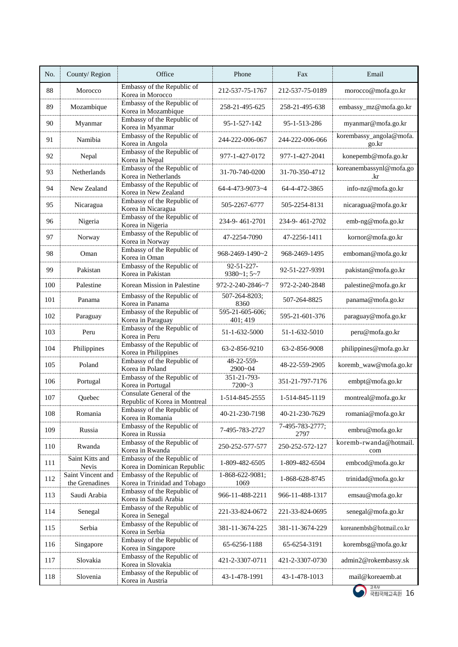| No. | County/Region                       | Office                                                     | Phone                           | Fax                     | Email                            |
|-----|-------------------------------------|------------------------------------------------------------|---------------------------------|-------------------------|----------------------------------|
| 88  | Morocco                             | Embassy of the Republic of<br>Korea in Morocco             | 212-537-75-1767                 | 212-537-75-0189         | morocco@mofa.go.kr               |
| 89  | Mozambique                          | Embassy of the Republic of<br>Korea in Mozambique          | 258-21-495-625                  | 258-21-495-638          | embassy_mz@mofa.go.kr            |
| 90  | Myanmar                             | Embassy of the Republic of<br>Korea in Myanmar             | 95-1-527-142                    | 95-1-513-286            | myanmar@mofa.go.kr               |
| 91  | Namibia                             | Embassy of the Republic of<br>Korea in Angola              | 244-222-006-067                 | 244-222-006-066         | korembassy_angola@mofa.<br>go.kr |
| 92  | Nepal                               | Embassy of the Republic of<br>Korea in Nepal               | 977-1-427-0172                  | 977-1-427-2041          | konepemb@mofa.go.kr              |
| 93  | Netherlands                         | Embassy of the Republic of<br>Korea in Netherlands         | 31-70-740-0200                  | 31-70-350-4712          | koreanembassynl@mofa.go<br>.kr   |
| 94  | New Zealand                         | Embassy of the Republic of<br>Korea in New Zealand         | 64-4-473-9073~4                 | 64-4-472-3865           | info-nz@mofa.go.kr               |
| 95  | Nicaragua                           | Embassy of the Republic of<br>Korea in Nicaragua           | 505-2267-6777                   | 505-2254-8131           | nicaragua@mofa.go.kr             |
| 96  | Nigeria                             | Embassy of the Republic of<br>Korea in Nigeria             | 234-9-461-2701                  | 234-9-461-2702          | emb-ng@mofa.go.kr                |
| 97  | Norway                              | Embassy of the Republic of<br>Korea in Norway              | 47-2254-7090                    | 47-2256-1411            | kornor@mofa.go.kr                |
| 98  | Oman                                | Embassy of the Republic of<br>Korea in Oman                | 968-2469-1490~2                 | 968-2469-1495           | emboman@mofa.go.kr               |
| 99  | Pakistan                            | Embassy of the Republic of<br>Korea in Pakistan            | 92-51-227-<br>$9380 - 1; 5 - 7$ | 92-51-227-9391          | pakistan@mofa.go.kr              |
| 100 | Palestine                           | Korean Mission in Palestine                                | 972-2-240-2846~7                | 972-2-240-2848          | palestine@mofa.go.kr             |
| 101 | Panama                              | Embassy of the Republic of<br>Korea in Panama              | 507-264-8203;<br>8360           | 507-264-8825            | panama@mofa.go.kr                |
| 102 | Paraguay                            | Embassy of the Republic of<br>Korea in Paraguay            | 595-21-605-606;<br>401; 419     | 595-21-601-376          | paraguay@mofa.go.kr              |
| 103 | Peru                                | Embassy of the Republic of<br>Korea in Peru                | 51-1-632-5000                   | 51-1-632-5010           | peru@mofa.go.kr                  |
| 104 | Philippines                         | Embassy of the Republic of<br>Korea in Philippines         | 63-2-856-9210                   | 63-2-856-9008           | philippines@mofa.go.kr           |
| 105 | Poland                              | Embassy of the Republic of<br>Korea in Poland              | 48-22-559-<br>2900~04           | 48-22-559-2905          | koremb_waw@mofa.go.kr            |
| 106 | Portugal                            | Embassy of the Republic of<br>Korea in Portugal            | 351-21-793-<br>7200~3           | 351-21-797-7176         | embpt@mofa.go.kr                 |
| 107 | Quebec                              | Consulate General of the<br>Republic of Korea in Montreal  | 1-514-845-2555                  | 1-514-845-1119          | montreal@mofa.go.kr              |
| 108 | Romania                             | Embassy of the Republic of<br>Korea in Romania             | 40-21-230-7198                  | 40-21-230-7629          | romania@mofa.go.kr               |
| 109 | Russia                              | Embassy of the Republic of<br>Korea in Russia              | 7-495-783-2727                  | 7-495-783-2777;<br>2797 | embru@mofa.go.kr                 |
| 110 | Rwanda                              | Embassy of the Republic of<br>Korea in Rwanda              | 250-252-577-577                 | 250-252-572-127         | koremb-rwanda@hotmail.<br>com    |
| 111 | Saint Kitts and<br><b>Nevis</b>     | Embassy of the Republic of<br>Korea in Dominican Republic  | 1-809-482-6505                  | 1-809-482-6504          | embcod@mofa.go.kr                |
| 112 | Saint Vincent and<br>the Grenadines | Embassy of the Republic of<br>Korea in Trinidad and Tobago | 1-868-622-9081;<br>1069         | 1-868-628-8745          | trinidad@mofa.go.kr              |
| 113 | Saudi Arabia                        | Embassy of the Republic of<br>Korea in Saudi Arabia        | 966-11-488-2211                 | 966-11-488-1317         | emsau@mofa.go.kr                 |
| 114 | Senegal                             | Embassy of the Republic of<br>Korea in Senegal             | 221-33-824-0672                 | 221-33-824-0695         | senegal@mofa.go.kr               |
| 115 | Serbia                              | Embassy of the Republic of<br>Korea in Serbia              | 381-11-3674-225                 | 381-11-3674-229         | koreanembsb@hotmail.co.kr        |
| 116 | Singapore                           | Embassy of the Republic of<br>Korea in Singapore           | 65-6256-1188                    | 65-6254-3191            | korembsg@mofa.go.kr              |
| 117 | Slovakia                            | Embassy of the Republic of<br>Korea in Slovakia            | 421-2-3307-0711                 | 421-2-3307-0730         | admin2@rokembassy.sk             |
| 118 | Slovenia                            | Embassy of the Republic of<br>Korea in Austria             | 43-1-478-1991                   | 43-1-478-1013           | mail@koreaemb.at                 |

 $\begin{array}{|c|c|c|}\hline \text{if } \mathbb{R} & \mathbb{R}^n \\\hline \text{if } \mathbb{R} & \mathbb{R}^n \\\hline \text{if } \mathbb{R} & \mathbb{R}^n \\\hline \end{array}$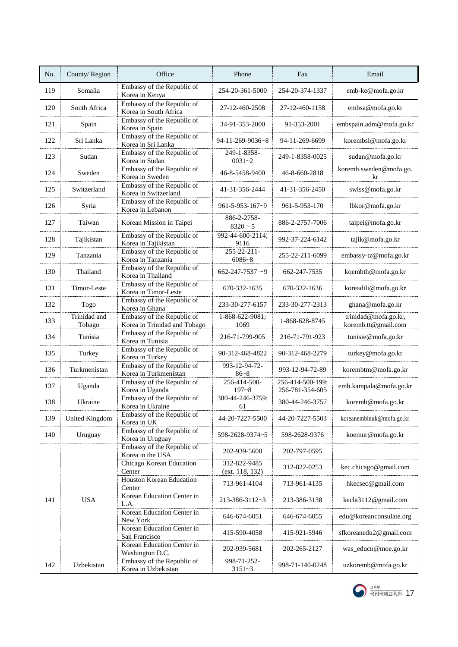| No. | County/Region          | Office                                                     | Phone                           | Fax                                 | Email                                       |
|-----|------------------------|------------------------------------------------------------|---------------------------------|-------------------------------------|---------------------------------------------|
| 119 | Somalia                | Embassy of the Republic of<br>Korea in Kenya               | 254-20-361-5000                 | 254-20-374-1337                     | emb-ke@mofa.go.kr                           |
| 120 | South Africa           | Embassy of the Republic of<br>Korea in South Africa        | 27-12-460-2508                  | 27-12-460-1158                      | embsa@mofa.go.kr                            |
| 121 | Spain                  | Embassy of the Republic of<br>Korea in Spain               | 34-91-353-2000                  | 91-353-2001                         | embspain.adm@mofa.go.kr                     |
| 122 | Sri Lanka              | Embassy of the Republic of<br>Korea in Sri Lanka           | 94-11-269-9036~8                | 94-11-269-6699                      | korembsl@mofa.go.kr                         |
| 123 | Sudan                  | Embassy of the Republic of<br>Korea in Sudan               | 249-1-8358-<br>$0031 - 2$       | 249-1-8358-0025                     | sudan@mofa.go.kr                            |
| 124 | Sweden                 | Embassy of the Republic of<br>Korea in Sweden              | 46-8-5458-9400                  | 46-8-660-2818                       | koremb.sweden@mofa.go.<br>kr                |
| 125 | Switzerland            | Embassy of the Republic of<br>Korea in Switzerland         | 41-31-356-2444                  | 41-31-356-2450                      | swiss@mofa.go.kr                            |
| 126 | Syria                  | Embassy of the Republic of<br>Korea in Lebanon             | 961-5-953-167~9                 | 961-5-953-170                       | lbkor@mofa.go.kr                            |
| 127 | Taiwan                 | Korean Mission in Taipei                                   | 886-2-2758-<br>$8320 - 5$       | 886-2-2757-7006                     | taipei@mofa.go.kr                           |
| 128 | Tajikistan             | Embassy of the Republic of<br>Korea in Tajikistan          | 992-44-600-2114;<br>9116        | 992-37-224-6142                     | tajik@mofa.go.kr                            |
| 129 | Tanzania               | Embassy of the Republic of<br>Korea in Tanzania            | 255-22-211-<br>$6086 - 8$       | 255-22-211-6099                     | embassy-tz@mofa.go.kr                       |
| 130 | Thailand               | Embassy of the Republic of<br>Korea in Thailand            | $662 - 247 - 7537 - 9$          | 662-247-7535                        | koembth@mofa.go.kr                          |
| 131 | Timor-Leste            | Embassy of the Republic of<br>Korea in Timor-Leste         | 670-332-1635                    | 670-332-1636                        | koreadili@mofa.go.kr                        |
| 132 | Togo                   | Embassy of the Republic of<br>Korea in Ghana               | 233-30-277-6157                 | 233-30-277-2313                     | ghana@mofa.go.kr                            |
| 133 | Trinidad and<br>Tobago | Embassy of the Republic of<br>Korea in Trinidad and Tobago | 1-868-622-9081;<br>1069         | 1-868-628-8745                      | trinidad@mofa.go.kr,<br>koremb.tt@gmail.com |
| 134 | Tunisia                | Embassy of the Republic of<br>Korea in Tunisia             | 216-71-799-905                  | 216-71-791-923                      | tunisie@mofa.go.kr                          |
| 135 | Turkey                 | Embassy of the Republic of<br>Korea in Turkey              | 90-312-468-4822                 | 90-312-468-2279                     | turkey@mofa.go.kr                           |
| 136 | Turkmenistan           | Embassy of the Republic of<br>Korea in Turkmenistan        | 993-12-94-72-<br>$86 - 8$       | 993-12-94-72-89                     | korembtm@mofa.go.kr                         |
| 137 | Uganda                 | Embassy of the Republic of<br>Korea in Uganda              | 256-414-500-<br>$197 - 8$       | 256-414-500-199;<br>256-781-354-605 | emb.kampala@mofa.go.kr                      |
| 138 | Ukraine                | Embassy of the Republic of<br>Korea in Ukraine             | 380-44-246-3759;<br>61          | 380-44-246-3757                     | koremb@mofa.go.kr                           |
| 139 | <b>United Kingdom</b>  | Embassy of the Republic of<br>Korea in UK                  | 44-20-7227-5500                 | 44-20-7227-5503                     | koreanembinuk@mofa.go.kr                    |
| 140 | Uruguay                | Embassy of the Republic of<br>Korea in Uruguay             | 598-2628-9374~5                 | 598-2628-9376                       | koemur@mofa.go.kr                           |
|     |                        | Embassy of the Republic of<br>Korea in the USA             | 202-939-5600                    | 202-797-0595                        |                                             |
|     |                        | Chicago Korean Education<br>Center                         | 312-822-9485<br>(ext. 118, 132) | 312-822-0253                        | kec.chicago@gmail.com                       |
|     |                        | <b>Houston Korean Education</b><br>Center                  | 713-961-4104                    | 713-961-4135                        | hkecsec@gmail.com                           |
| 141 | <b>USA</b>             | Korean Education Center in<br>L.A.                         | 213-386-3112~3                  | 213-386-3138                        | kecla3112@gmail.com                         |
|     |                        | Korean Education Center in<br>New York                     | 646-674-6051                    | 646-674-6055                        | edu@koreanconsulate.org                     |
|     |                        | Korean Education Center in<br>San Francisco                | 415-590-4058                    | 415-921-5946                        | sfkoreanedu2@gmail.com                      |
|     |                        | Korean Education Center in<br>Washington D.C.              | 202-939-5681                    | 202-265-2127                        | was_educn@moe.go.kr                         |
| 142 | Uzbekistan             | Embassy of the Republic of<br>Korea in Uzbekistan          | 998-71-252-<br>$3151 - 3$       | 998-71-140-0248                     | uzkoremb@mofa.go.kr                         |

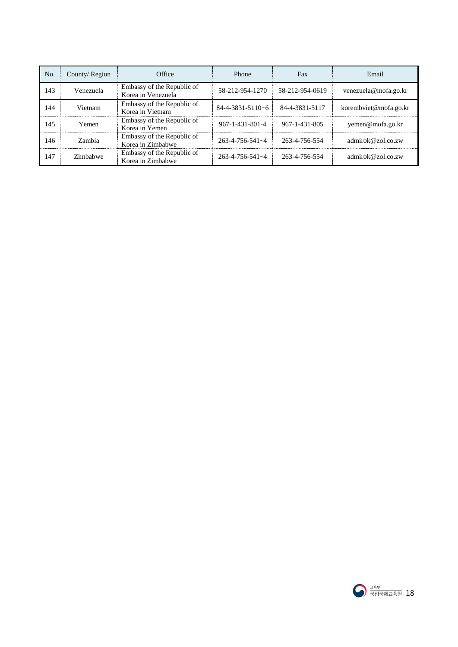| No. | County/Region | Office                                           | Phone                      | Fax             | Email                 |
|-----|---------------|--------------------------------------------------|----------------------------|-----------------|-----------------------|
| 143 | Venezuela     | Embassy of the Republic of<br>Korea in Venezuela | 58-212-954-1270            | 58-212-954-0619 | venezuela@mofa.go.kr  |
| 144 | Vietnam       | Embassy of the Republic of<br>Korea in Vietnam   | $84 - 4 - 3831 - 5110 - 6$ | 84-4-3831-5117  | korembviet@mofa.go.kr |
| 145 | Yemen         | Embassy of the Republic of<br>Korea in Yemen     | 967-1-431-801-4            | 967-1-431-805   | yemen@mofa.go.kr      |
| 146 | Zambia        | Embassy of the Republic of<br>Korea in Zimbabwe  | $263 - 4 - 756 - 541 - 4$  | 263-4-756-554   | admirok@zol.co.zw     |
| 147 | Zimbabwe      | Embassy of the Republic of<br>Korea in Zimbabwe  | $263 - 4 - 756 - 541 - 4$  | 263-4-756-554   | admirok@zol.co.zw     |

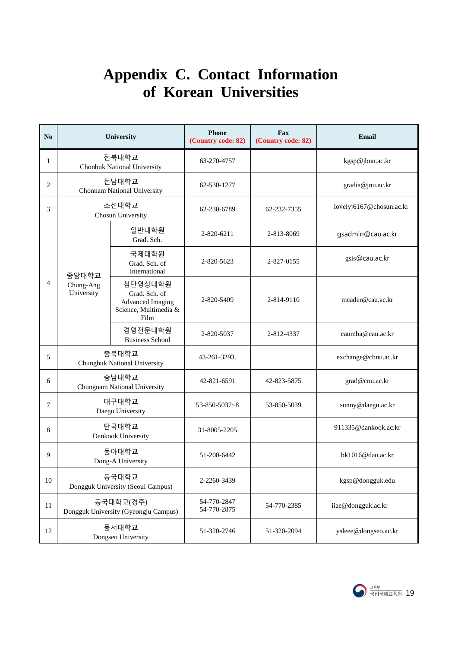### **Appendix C. Contact Information of Korean Universities**

| No             |                                            | University                                                                           | Phone<br>(Country code: 82) | Fax<br>(Country code: 82) | Email                    |
|----------------|--------------------------------------------|--------------------------------------------------------------------------------------|-----------------------------|---------------------------|--------------------------|
| $\mathbf{1}$   |                                            | 전북대학교<br>Chonbuk National University                                                 | 63-270-4757                 |                           | kgsp@jbnu.ac.kr          |
| $\overline{2}$ |                                            | 전남대학교<br>Chonnam National University                                                 | 62-530-1277                 |                           | gradia@jnu.ac.kr         |
| 3              |                                            | 조선대학교<br>Chosun University                                                           | 62-230-6789                 | 62-232-7355               | lovelyj6167@chosun.ac.kr |
|                |                                            | 일반대학원<br>Grad. Sch.                                                                  | 2-820-6211                  | 2-813-8069                | gsadmin@cau.ac.kr        |
|                |                                            | 국제대학원<br>Grad. Sch. of<br>International                                              | 2-820-5623                  | 2-827-0155                | gsis@cau.ac.kr           |
| $\overline{4}$ | 중앙대학교<br>Chung-Ang<br>University           | 첨단영상대학원<br>Grad. Sch. of<br><b>Advanced Imaging</b><br>Science, Multimedia &<br>Film | 2-820-5409                  | 2-814-9110                | mcader@cau.ac.kr         |
|                |                                            | 경영전문대학원<br><b>Business School</b>                                                    | 2-820-5037                  | 2-812-4337                | caumba@cau.ac.kr         |
| 5              | 충북대학교<br>Chungbuk National University      |                                                                                      | 43-261-3293.                |                           | exchange@cbnu.ac.kr      |
| 6              |                                            | 충남대학교<br>Chungnam National University                                                | 42-821-6591                 | 42-823-5875               | grad@cnu.ac.kr           |
| $\overline{7}$ |                                            | 대구대학교<br>Daegu University                                                            | $53 - 850 - 5037 - 8$       | 53-850-5039               | sunny@daegu.ac.kr        |
| 8              |                                            | 단국대학교<br>Dankook University                                                          | 31-8005-2205                |                           | 911335@dankook.ac.kr     |
| 9              | 동아대학교<br>Dong-A University                 |                                                                                      | 51-200-6442                 |                           | bk1016@dau.ac.kr         |
| 10             | 동국대학교<br>Dongguk University (Seoul Campus) |                                                                                      | 2-2260-3439                 |                           | kgsp@dongguk.edu         |
| 11             |                                            | 동국대학교(경주)<br>Dongguk University (Gyeongju Campus)                                    | 54-770-2847<br>54-770-2875  | 54-770-2385               | iiae@dongguk.ac.kr       |
| 12             |                                            | 동서대학교<br>Dongseo University                                                          | 51-320-2746                 | 51-320-2094               | ysleee@dongseo.ac.kr     |

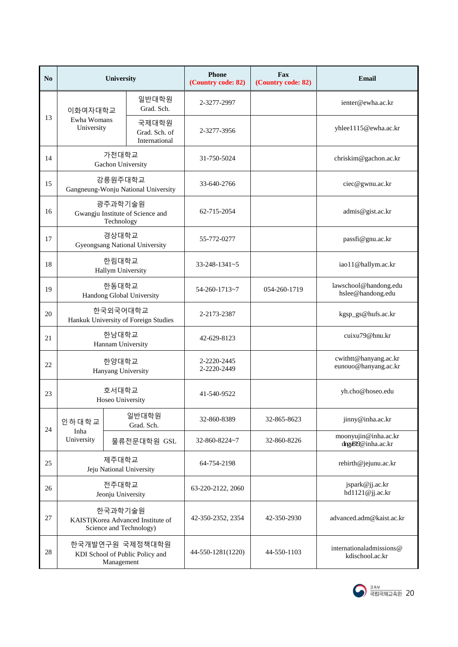| No | University                                                              |                                         | <b>Phone</b><br>(Country code: 82) | <b>Fax</b><br>(Country code: 82) | Email                                         |
|----|-------------------------------------------------------------------------|-----------------------------------------|------------------------------------|----------------------------------|-----------------------------------------------|
|    | 이화여자대학교                                                                 | 일반대학원<br>Grad. Sch.                     | 2-3277-2997                        |                                  | ienter@ewha.ac.kr                             |
| 13 | Ewha Womans<br>University                                               | 국제대학원<br>Grad. Sch. of<br>International | 2-3277-3956                        |                                  | yhlee1115@ewha.ac.kr                          |
| 14 | 가천대학교<br>Gachon University                                              |                                         | 31-750-5024                        |                                  | chriskim@gachon.ac.kr                         |
| 15 | 강릉원주대학교<br>Gangneung-Wonju National University                          |                                         | 33-640-2766                        |                                  | ciec@gwnu.ac.kr                               |
| 16 | 광주과학기술원<br>Gwangju Institute of Science and<br>Technology               |                                         | 62-715-2054                        |                                  | admis@gist.ac.kr                              |
| 17 | 경상대학교<br><b>Gyeongsang National University</b>                          |                                         | 55-772-0277                        |                                  | passfi@gnu.ac.kr                              |
| 18 | 한림대학교<br>Hallym University                                              |                                         | $33 - 248 - 1341 - 5$              |                                  | iao11@hallym.ac.kr                            |
| 19 | 한동대학교<br>Handong Global University                                      |                                         | 54-260-1713~7                      | 054-260-1719                     | lawschool@handong.edu<br>hslee@handong.edu    |
| 20 | 한국외국어대학교<br>Hankuk University of Foreign Studies                        |                                         | 2-2173-2387                        |                                  | kgsp_gs@hufs.ac.kr                            |
| 21 | 한남대학교<br>Hannam University                                              |                                         | 42-629-8123                        |                                  | cuixu79@hnu.kr                                |
| 22 | 한양대학교<br>Hanyang University                                             |                                         | 2-2220-2445<br>2-2220-2449         |                                  | cwithtt@hanyang.ac.kr<br>eunouo@hanyang.ac.kr |
| 23 | 호서대학교<br>Hoseo University                                               |                                         | 41-540-9522                        |                                  | yh.cho@hoseo.edu                              |
| 24 | 인하대학교<br>Inha                                                           | 일반대학원<br>Grad. Sch.                     | 32-860-8389                        | 32-865-8623                      | jinny@inha.ac.kr                              |
|    | University                                                              | 물류전문대학원 GSL                             | 32-860-8224~7                      | 32-860-8226                      | moonyujin@inha.ac.kr<br>dingx819@inha.ac.kr   |
| 25 | 제주대학교<br>Jeju National University                                       |                                         | 64-754-2198                        |                                  | rebirth@jejunu.ac.kr                          |
| 26 | 전주대학교<br>Jeonju University                                              |                                         | 63-220-2122, 2060                  |                                  | jspark@jj.ac.kr<br>hd1121@jj.ac.kr            |
| 27 | 한국과학기술원<br>KAIST(Korea Advanced Institute of<br>Science and Technology) |                                         | 42-350-2352, 2354                  | 42-350-2930                      | advanced.adm@kaist.ac.kr                      |
| 28 | 한국개발연구원 국제정책대학원<br>KDI School of Public Policy and<br>Management        |                                         | 44-550-1281(1220)                  | 44-550-1103                      | international admissions @<br>kdischool.ac.kr |

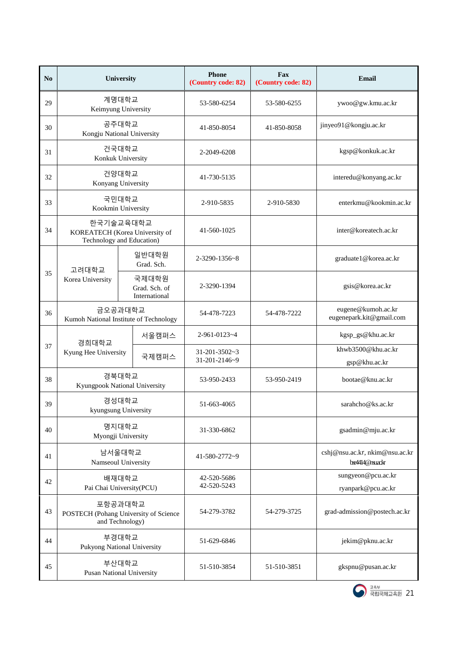| No |                                                                     | University                                                               | <b>Phone</b><br>(Country code: 82)     | Fax<br>(Country code: 82) | Email                                           |
|----|---------------------------------------------------------------------|--------------------------------------------------------------------------|----------------------------------------|---------------------------|-------------------------------------------------|
| 29 |                                                                     | 계명대학교<br>Keimyung University                                             | 53-580-6254                            | 53-580-6255               | ywoo@gw.kmu.ac.kr                               |
| 30 |                                                                     | 공주대학교<br>Kongju National University                                      | 41-850-8054                            | 41-850-8058               | jinyeo91@kongju.ac.kr                           |
| 31 |                                                                     | 건국대학교<br>Konkuk University                                               | 2-2049-6208                            |                           | kgsp@konkuk.ac.kr                               |
| 32 |                                                                     | 건양대학교<br>Konyang University                                              | 41-730-5135                            |                           | interedu@konyang.ac.kr                          |
| 33 |                                                                     | 국민대학교<br>Kookmin University                                              | 2-910-5835                             | 2-910-5830                | enterkmu@kookmin.ac.kr                          |
| 34 |                                                                     | 한국기술교육대학교<br>KOREATECH (Korea University of<br>Technology and Education) | 41-560-1025                            |                           | inter@koreatech.ac.kr                           |
|    | 고려대학교                                                               | 일반대학원<br>Grad. Sch.                                                      | 2-3290-1356~8                          |                           | graduate1@korea.ac.kr                           |
| 35 | Korea University                                                    | 국제대학원<br>Grad. Sch. of<br>International                                  | 2-3290-1394                            |                           | gsis@korea.ac.kr                                |
| 36 | 금오공과대학교<br>Kumoh National Institute of Technology                   |                                                                          | 54-478-7223                            | 54-478-7222               | eugene@kumoh.ac.kr<br>eugenepark.kit@gmail.com  |
|    | 경희대학교                                                               | 서울캠퍼스                                                                    | 2-961-0123~4                           |                           | kgsp_gs@khu.ac.kr                               |
| 37 | Kyung Hee University                                                | 국제캠퍼스                                                                    | $31 - 201 - 3502 - 3$<br>31-201-2146~9 |                           | khwb3500@khu.ac.kr                              |
| 38 |                                                                     | 경북대학교<br>Kyungpook National University                                   | 53-950-2433                            | 53-950-2419               | gsp@khu.ac.kr<br>bootae@knu.ac.kr               |
| 39 |                                                                     | 경성대학교<br>kyungsung University                                            | 51-663-4065                            |                           | sarahcho@ks.ac.kr                               |
| 40 |                                                                     | 명지대학교<br>Myongji University                                              | 31-330-6862                            |                           | gsadmin@mju.ac.kr                               |
| 41 |                                                                     | 남서울대학교<br>Namseoul University                                            | 41-580-2772~9                          |                           | cshj@nsu.ac.kr, nkim@nsu.ac.kr<br>be4414@nuackr |
| 42 | 배재대학교<br>Pai Chai University(PCU)                                   |                                                                          | 42-520-5686<br>42-520-5243             |                           | sungyeon@pcu.ac.kr<br>ryanpark@pcu.ac.kr        |
| 43 | 포항공과대학교<br>POSTECH (Pohang University of Science<br>and Technology) |                                                                          | 54-279-3782                            | 54-279-3725               | grad-admission@postech.ac.kr                    |
| 44 |                                                                     | 부경대학교<br>Pukyong National University                                     | 51-629-6846                            |                           | jekim@pknu.ac.kr                                |
| 45 |                                                                     | 부산대학교<br><b>Pusan National University</b>                                | 51-510-3854                            | 51-510-3851               | gkspnu@pusan.ac.kr                              |

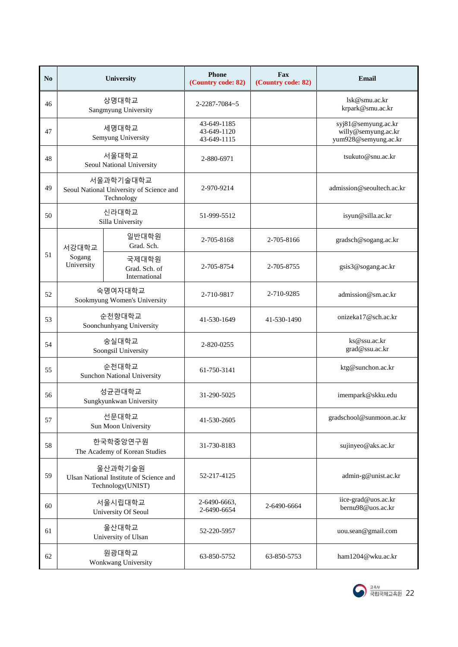| No |                                                                         | University                                                          | <b>Phone</b><br>(Country code: 82)        | <b>Fax</b><br>(Country code: 82) | Email                                                              |
|----|-------------------------------------------------------------------------|---------------------------------------------------------------------|-------------------------------------------|----------------------------------|--------------------------------------------------------------------|
| 46 |                                                                         | 상명대학교<br>Sangmyung University                                       | 2-2287-7084~5                             |                                  | lsk@smu.ac.kr<br>krpark@smu.ac.kr                                  |
| 47 |                                                                         | 세명대학교<br>Semyung University                                         | 43-649-1185<br>43-649-1120<br>43-649-1115 |                                  | syj81@semyung.ac.kr<br>willy@semyung.ac.kr<br>yum928@semyung.ac.kr |
| 48 |                                                                         | 서울대학교<br>Seoul National University                                  | 2-880-6971                                |                                  | tsukuto@snu.ac.kr                                                  |
| 49 |                                                                         | 서울과학기술대학교<br>Seoul National University of Science and<br>Technology | 2-970-9214                                |                                  | admission@seoultech.ac.kr                                          |
| 50 |                                                                         | 신라대학교<br>Silla University                                           | 51-999-5512                               |                                  | isyun@silla.ac.kr                                                  |
|    | 서강대학교                                                                   | 일반대학원<br>Grad. Sch.                                                 | 2-705-8168                                | 2-705-8166                       | gradsch@sogang.ac.kr                                               |
| 51 | Sogang<br>University                                                    | 국제대학원<br>Grad. Sch. of<br>International                             | 2-705-8754                                | 2-705-8755                       | gsis3@sogang.ac.kr                                                 |
| 52 | 숙명여자대학교<br>Sookmyung Women's University                                 |                                                                     | 2-710-9817                                | 2-710-9285                       | admission@sm.ac.kr                                                 |
| 53 | 순천향대학교<br>Soonchunhyang University                                      |                                                                     | 41-530-1649                               | 41-530-1490                      | onizeka17@sch.ac.kr                                                |
| 54 | 숭실대학교<br>Soongsil University                                            |                                                                     | 2-820-0255                                |                                  | ks@ssu.ac.kr<br>grad@ssu.ac.kr                                     |
| 55 |                                                                         | 순천대학교<br><b>Sunchon National University</b>                         | 61-750-3141                               |                                  | ktg@sunchon.ac.kr                                                  |
| 56 |                                                                         | 성균관대학교<br>Sungkyunkwan University                                   | 31-290-5025                               |                                  | imempark@skku.edu                                                  |
| 57 |                                                                         | 선문대학교<br>Sun Moon University                                        | 41-530-2605                               |                                  | gradschool@sunmoon.ac.kr                                           |
| 58 |                                                                         | 한국학중앙연구원<br>The Academy of Korean Studies                           | 31-730-8183                               |                                  | sujinyeo@aks.ac.kr                                                 |
| 59 | 울산과학기술원<br>Ulsan National Institute of Science and<br>Technology(UNIST) |                                                                     | 52-217-4125                               |                                  | admin-g@unist.ac.kr                                                |
| 60 | 서울시립대학교<br>University Of Seoul                                          |                                                                     | 2-6490-6663,<br>2-6490-6654               | 2-6490-6664                      | iice-grad@uos.ac.kr<br>bernu98@uos.ac.kr                           |
| 61 |                                                                         | 울산대학교<br>University of Ulsan                                        | 52-220-5957                               |                                  | uou.sean@gmail.com                                                 |
| 62 |                                                                         | 원광대학교<br>Wonkwang University                                        | 63-850-5752                               | 63-850-5753                      | ham1204@wku.ac.kr                                                  |